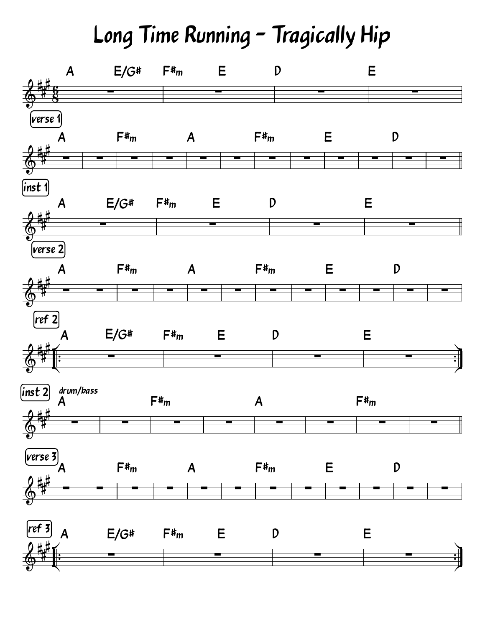## Long Time Running - Tragically Hip